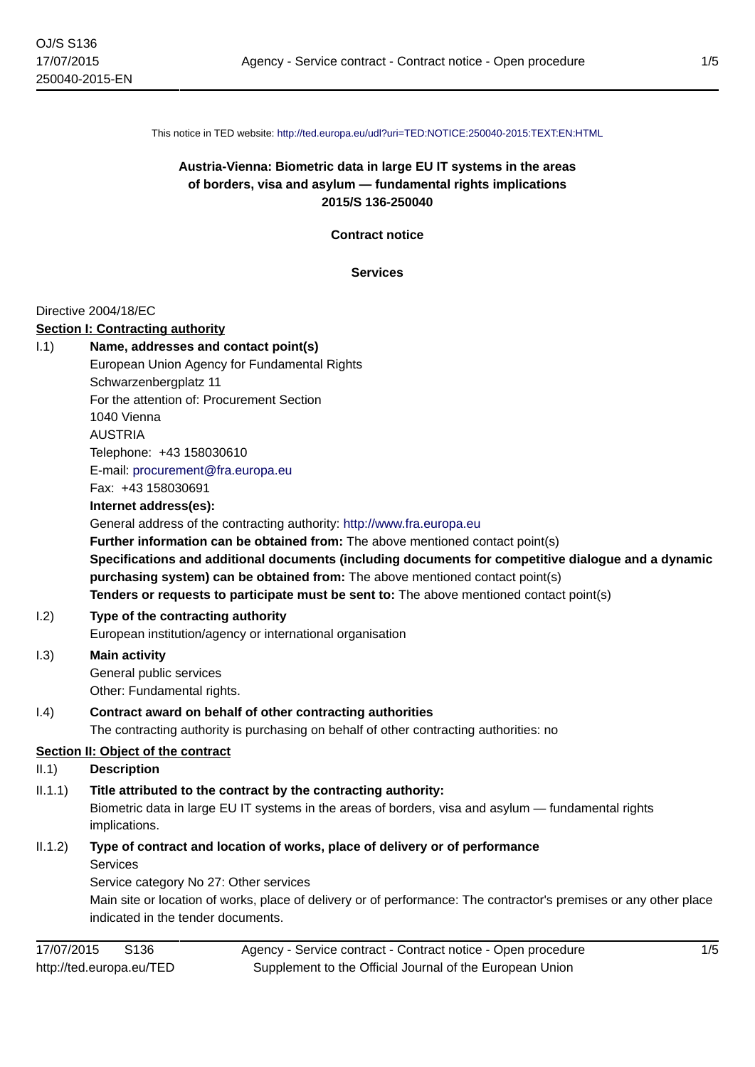This notice in TED website: <http://ted.europa.eu/udl?uri=TED:NOTICE:250040-2015:TEXT:EN:HTML>

# **Austria-Vienna: Biometric data in large EU IT systems in the areas of borders, visa and asylum — fundamental rights implications 2015/S 136-250040**

**Contract notice**

**Services**

### Directive 2004/18/EC

### **Section I: Contracting authority**

| 1.1)                               | Name, addresses and contact point(s)<br>European Union Agency for Fundamental Rights<br>Schwarzenbergplatz 11<br>For the attention of: Procurement Section<br>1040 Vienna<br><b>AUSTRIA</b><br>Telephone: +43 158030610                                                                                                                                                                                                                      |
|------------------------------------|----------------------------------------------------------------------------------------------------------------------------------------------------------------------------------------------------------------------------------------------------------------------------------------------------------------------------------------------------------------------------------------------------------------------------------------------|
|                                    | E-mail: procurement@fra.europa.eu<br>Fax: +43 158030691                                                                                                                                                                                                                                                                                                                                                                                      |
|                                    | Internet address(es):                                                                                                                                                                                                                                                                                                                                                                                                                        |
|                                    | General address of the contracting authority: http://www.fra.europa.eu<br>Further information can be obtained from: The above mentioned contact point(s)<br>Specifications and additional documents (including documents for competitive dialogue and a dynamic<br>purchasing system) can be obtained from: The above mentioned contact point(s)<br>Tenders or requests to participate must be sent to: The above mentioned contact point(s) |
| 1.2)                               | Type of the contracting authority<br>European institution/agency or international organisation                                                                                                                                                                                                                                                                                                                                               |
| 1.3)                               | <b>Main activity</b><br>General public services<br>Other: Fundamental rights.                                                                                                                                                                                                                                                                                                                                                                |
| (1.4)                              | Contract award on behalf of other contracting authorities<br>The contracting authority is purchasing on behalf of other contracting authorities: no                                                                                                                                                                                                                                                                                          |
| Section II: Object of the contract |                                                                                                                                                                                                                                                                                                                                                                                                                                              |
| II.1)                              | <b>Description</b>                                                                                                                                                                                                                                                                                                                                                                                                                           |
| II.1.1)                            | Title attributed to the contract by the contracting authority:<br>Biometric data in large EU IT systems in the areas of borders, visa and asylum — fundamental rights<br>implications.                                                                                                                                                                                                                                                       |
| II.1.2)                            | Type of contract and location of works, place of delivery or of performance<br><b>Services</b><br>Service category No 27: Other services<br>Main site or location of works, place of delivery or of performance: The contractor's premises or any other place<br>indicated in the tender documents.                                                                                                                                          |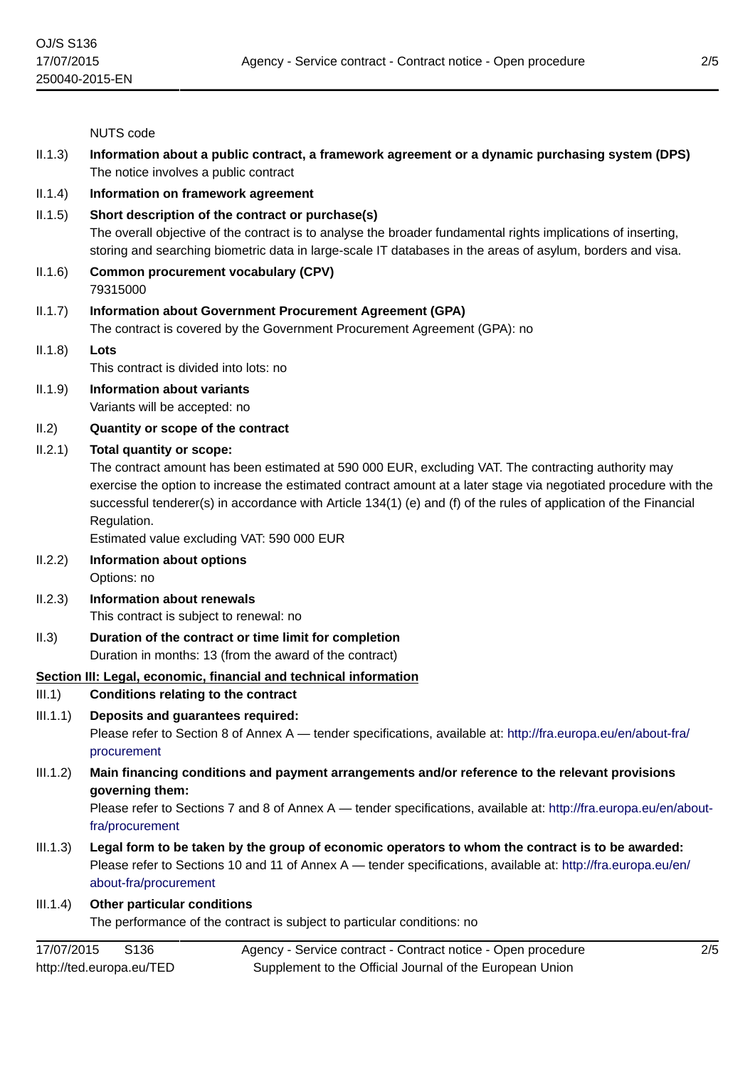NUTS code

- II.1.3) **Information about a public contract, a framework agreement or a dynamic purchasing system (DPS)** The notice involves a public contract
- II.1.4) **Information on framework agreement**
- II.1.5) **Short description of the contract or purchase(s)**

The overall objective of the contract is to analyse the broader fundamental rights implications of inserting, storing and searching biometric data in large-scale IT databases in the areas of asylum, borders and visa.

- II.1.6) **Common procurement vocabulary (CPV)** 79315000
- II.1.7) **Information about Government Procurement Agreement (GPA)**

The contract is covered by the Government Procurement Agreement (GPA): no

II.1.8) **Lots**

This contract is divided into lots: no

- II.1.9) **Information about variants** Variants will be accepted: no
- II.2) **Quantity or scope of the contract**

#### II.2.1) **Total quantity or scope:**

The contract amount has been estimated at 590 000 EUR, excluding VAT. The contracting authority may exercise the option to increase the estimated contract amount at a later stage via negotiated procedure with the successful tenderer(s) in accordance with Article 134(1) (e) and (f) of the rules of application of the Financial Regulation.

Estimated value excluding VAT: 590 000 EUR

- II.2.2) **Information about options** Options: no
- II.2.3) **Information about renewals** This contract is subject to renewal: no
- II.3) **Duration of the contract or time limit for completion** Duration in months: 13 (from the award of the contract)

### **Section III: Legal, economic, financial and technical information**

- III.1) **Conditions relating to the contract**
- III.1.1) **Deposits and guarantees required:**

Please refer to Section 8 of Annex A — tender specifications, available at: [http://fra.europa.eu/en/about-fra/](http://fra.europa.eu/en/about-fra/procurement) [procurement](http://fra.europa.eu/en/about-fra/procurement)

III.1.2) **Main financing conditions and payment arrangements and/or reference to the relevant provisions governing them:**

Please refer to Sections 7 and 8 of Annex A — tender specifications, available at: [http://fra.europa.eu/en/about](http://fra.europa.eu/en/about-fra/procurement)[fra/procurement](http://fra.europa.eu/en/about-fra/procurement)

III.1.3) **Legal form to be taken by the group of economic operators to whom the contract is to be awarded:** Please refer to Sections 10 and 11 of Annex A — tender specifications, available at: [http://fra.europa.eu/en/](http://fra.europa.eu/en/about-fra/procurement) [about-fra/procurement](http://fra.europa.eu/en/about-fra/procurement)

#### III.1.4) **Other particular conditions**

The performance of the contract is subject to particular conditions: no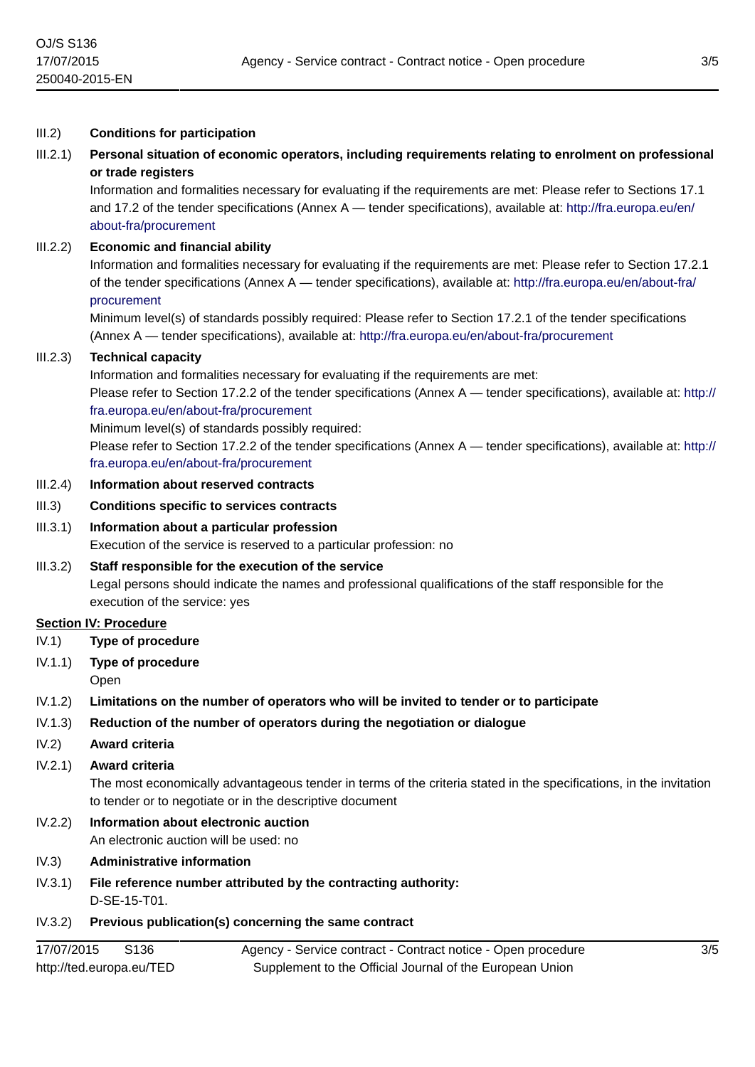#### III.2) **Conditions for participation**

### III.2.1) **Personal situation of economic operators, including requirements relating to enrolment on professional or trade registers**

Information and formalities necessary for evaluating if the requirements are met: Please refer to Sections 17.1 and 17.2 of the tender specifications (Annex A — tender specifications), available at: [http://fra.europa.eu/en/](http://fra.europa.eu/en/about-fra/procurement) [about-fra/procurement](http://fra.europa.eu/en/about-fra/procurement)

#### III.2.2) **Economic and financial ability**

Information and formalities necessary for evaluating if the requirements are met: Please refer to Section 17.2.1 of the tender specifications (Annex A — tender specifications), available at: [http://fra.europa.eu/en/about-fra/](http://fra.europa.eu/en/about-fra/procurement) [procurement](http://fra.europa.eu/en/about-fra/procurement)

Minimum level(s) of standards possibly required: Please refer to Section 17.2.1 of the tender specifications (Annex A — tender specifications), available at: <http://fra.europa.eu/en/about-fra/procurement>

#### III.2.3) **Technical capacity**

Information and formalities necessary for evaluating if the requirements are met:

Please refer to Section 17.2.2 of the tender specifications (Annex A — tender specifications), available at: [http://](http://fra.europa.eu/en/about-fra/procurement) [fra.europa.eu/en/about-fra/procurement](http://fra.europa.eu/en/about-fra/procurement)

Minimum level(s) of standards possibly required:

Please refer to Section 17.2.2 of the tender specifications (Annex A — tender specifications), available at: [http://](http://fra.europa.eu/en/about-fra/procurement) [fra.europa.eu/en/about-fra/procurement](http://fra.europa.eu/en/about-fra/procurement)

### III.2.4) **Information about reserved contracts**

- III.3) **Conditions specific to services contracts**
- III.3.1) **Information about a particular profession**

Execution of the service is reserved to a particular profession: no

#### III.3.2) **Staff responsible for the execution of the service**

Legal persons should indicate the names and professional qualifications of the staff responsible for the execution of the service: yes

#### **Section IV: Procedure**

IV.1) **Type of procedure**

- IV.1.1) **Type of procedure**
- Open
- IV.1.2) **Limitations on the number of operators who will be invited to tender or to participate**

#### IV.1.3) **Reduction of the number of operators during the negotiation or dialogue**

IV.2) **Award criteria**

#### IV.2.1) **Award criteria**

The most economically advantageous tender in terms of the criteria stated in the specifications, in the invitation to tender or to negotiate or in the descriptive document

# IV.2.2) **Information about electronic auction**

An electronic auction will be used: no

- IV.3) **Administrative information**
- IV.3.1) **File reference number attributed by the contracting authority:** D-SE-15-T01.

### IV.3.2) **Previous publication(s) concerning the same contract**

| 17/07/2015<br>S136       | Agency - Service contract - Contract notice - Open procedure |
|--------------------------|--------------------------------------------------------------|
| http://ted.europa.eu/TED | Supplement to the Official Journal of the European Union     |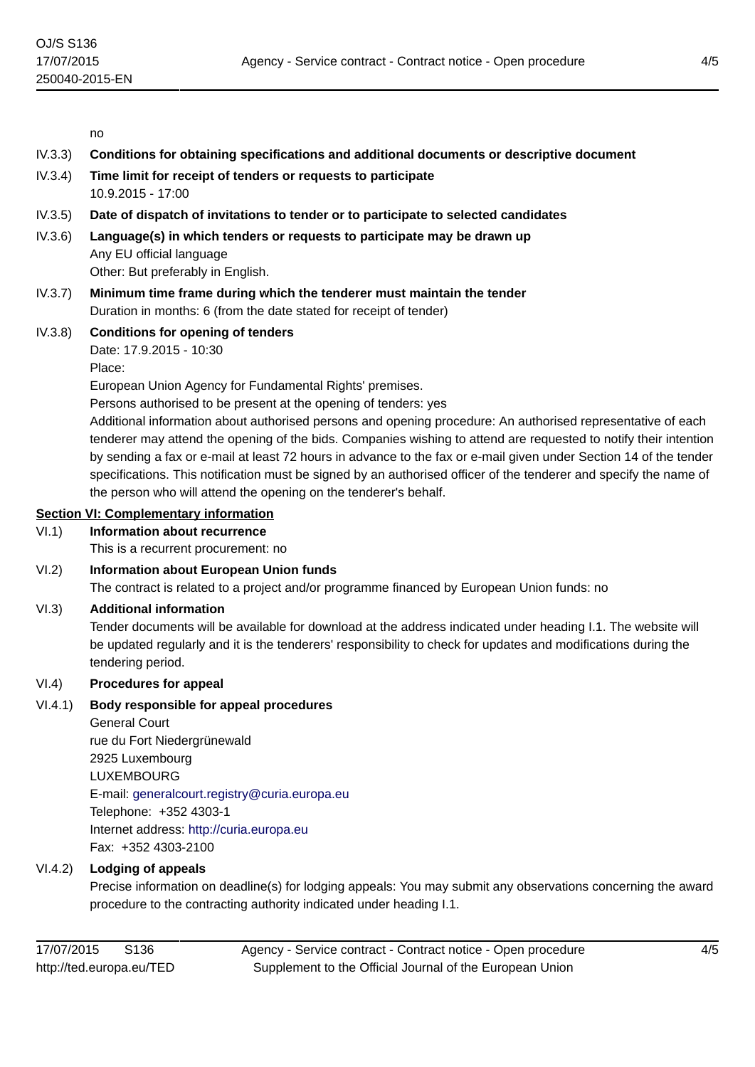no

- IV.3.3) **Conditions for obtaining specifications and additional documents or descriptive document**
- IV.3.4) **Time limit for receipt of tenders or requests to participate** 10.9.2015 - 17:00
- IV.3.5) **Date of dispatch of invitations to tender or to participate to selected candidates**
- IV.3.6) **Language(s) in which tenders or requests to participate may be drawn up** Any EU official language Other: But preferably in English.
- IV.3.7) **Minimum time frame during which the tenderer must maintain the tender** Duration in months: 6 (from the date stated for receipt of tender)
- IV.3.8) **Conditions for opening of tenders** Date: 17.9.2015 - 10:30

Place:

European Union Agency for Fundamental Rights' premises.

Persons authorised to be present at the opening of tenders: yes

Additional information about authorised persons and opening procedure: An authorised representative of each tenderer may attend the opening of the bids. Companies wishing to attend are requested to notify their intention by sending a fax or e-mail at least 72 hours in advance to the fax or e-mail given under Section 14 of the tender specifications. This notification must be signed by an authorised officer of the tenderer and specify the name of the person who will attend the opening on the tenderer's behalf.

### **Section VI: Complementary information**

### VI.1) **Information about recurrence**

This is a recurrent procurement: no

### VI.2) **Information about European Union funds**

The contract is related to a project and/or programme financed by European Union funds: no

#### VI.3) **Additional information**

Tender documents will be available for download at the address indicated under heading I.1. The website will be updated regularly and it is the tenderers' responsibility to check for updates and modifications during the tendering period.

### VI.4) **Procedures for appeal**

### VI.4.1) **Body responsible for appeal procedures**

General Court rue du Fort Niedergrünewald 2925 Luxembourg LUXEMBOURG E-mail: [generalcourt.registry@curia.europa.eu](mailto:generalcourt.registry@curia.europa.eu) Telephone: +352 4303-1 Internet address: <http://curia.europa.eu> Fax: +352 4303-2100

### VI.4.2) **Lodging of appeals**

Precise information on deadline(s) for lodging appeals: You may submit any observations concerning the award procedure to the contracting authority indicated under heading I.1.